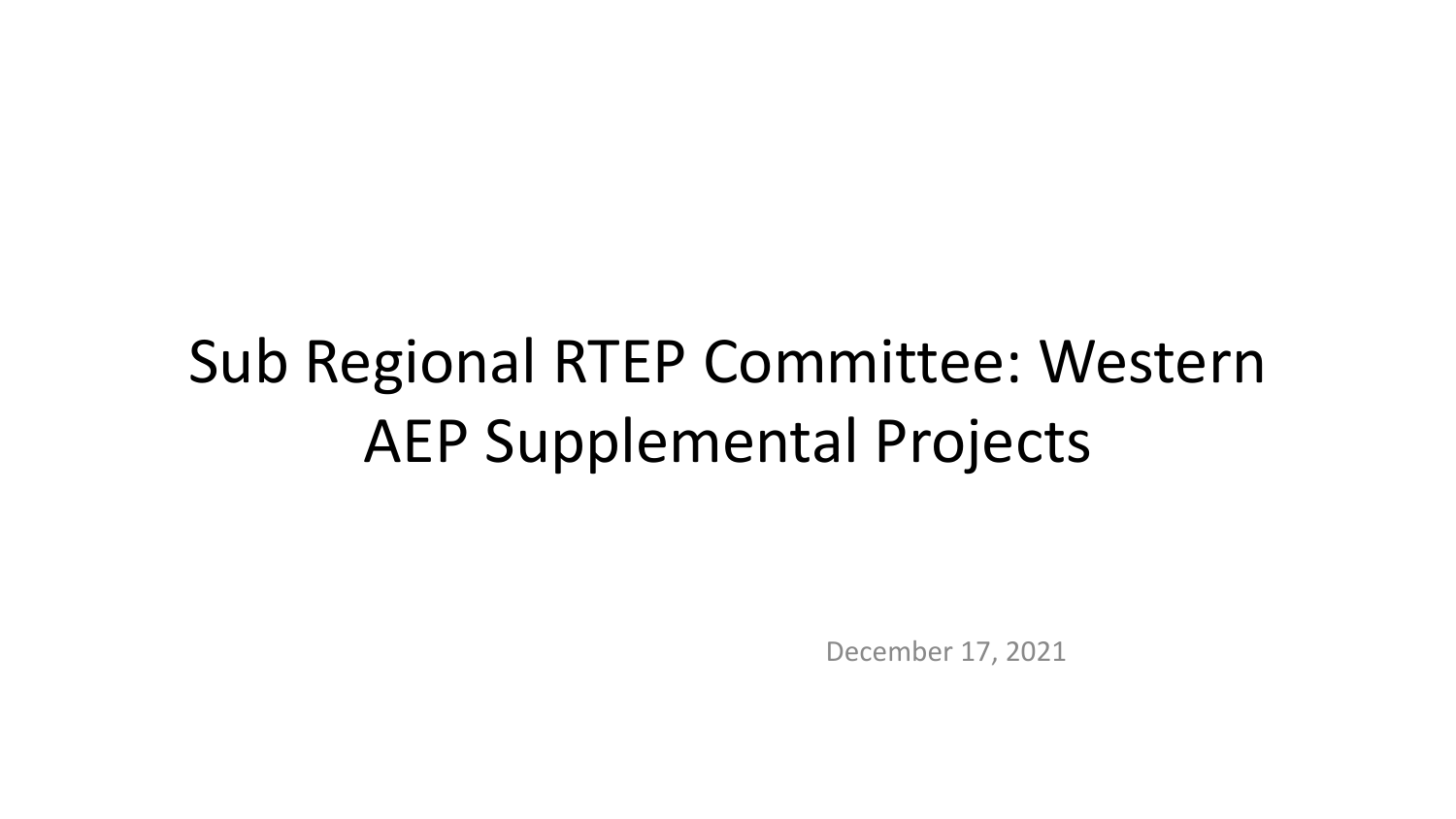# Sub Regional RTEP Committee: Western AEP Supplemental Projects

December 17, 2021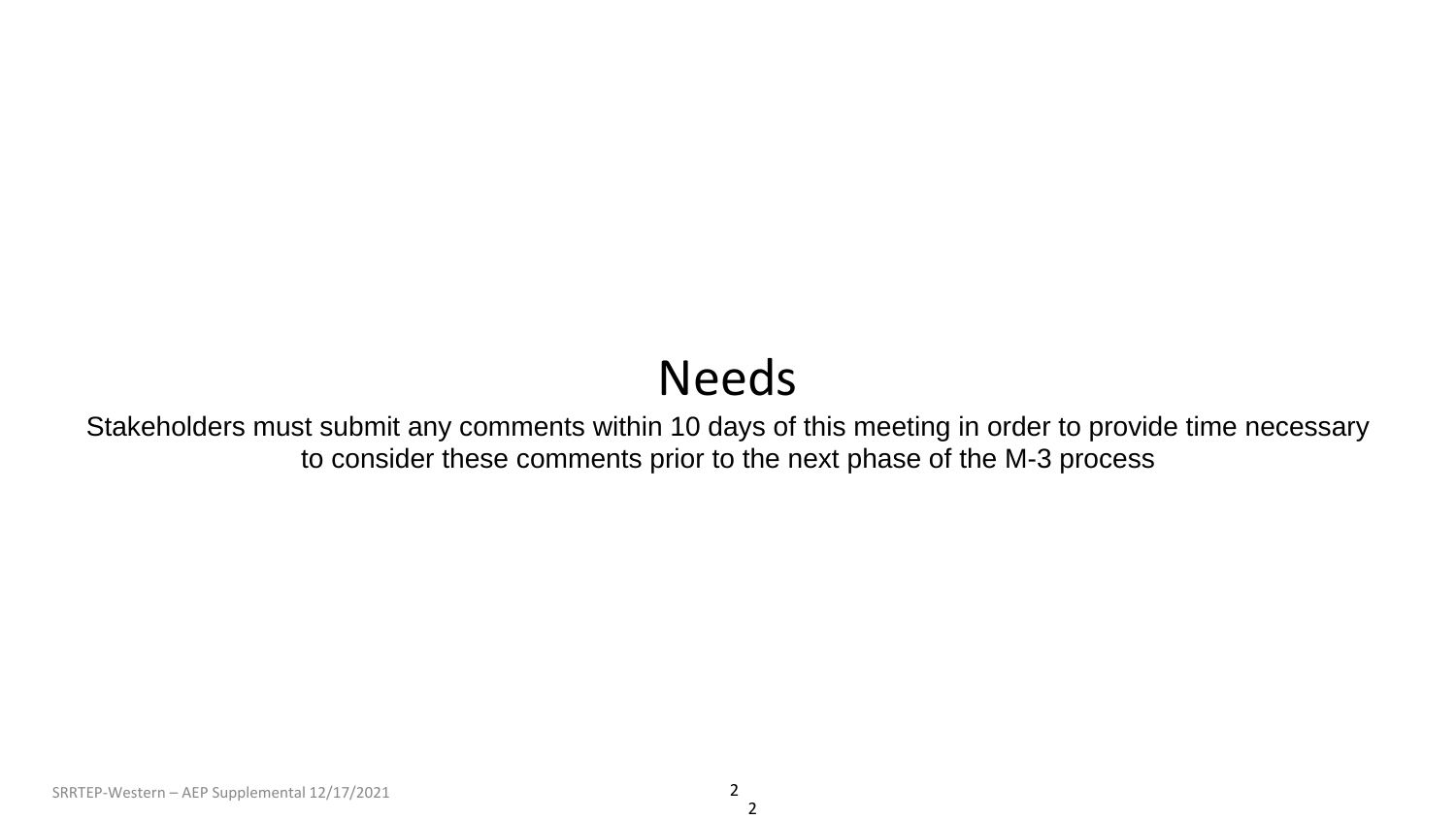## Needs

Stakeholders must submit any comments within 10 days of this meeting in order to provide time necessary to consider these comments prior to the next phase of the M-3 process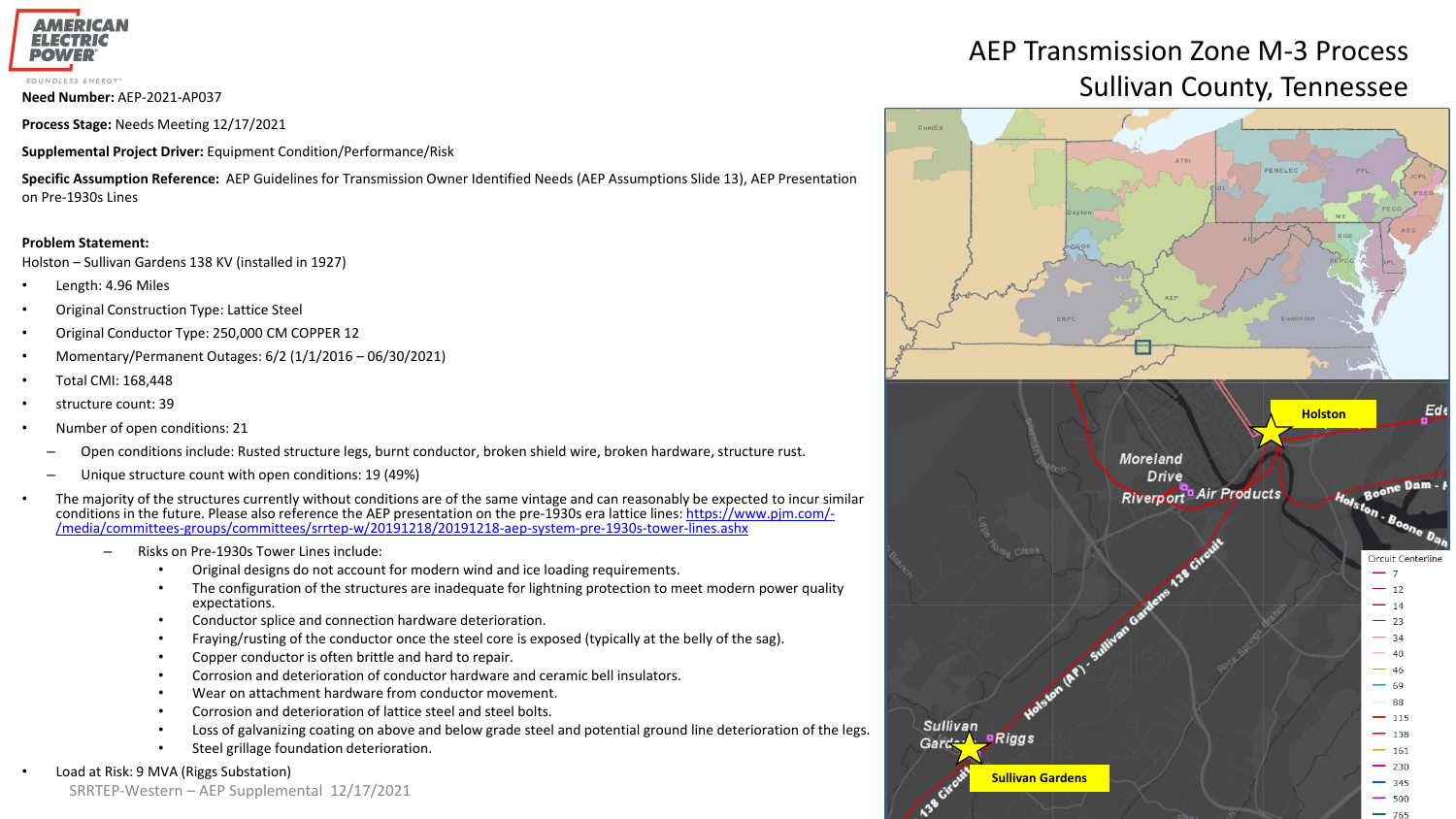

**Process Stage:** Needs Meeting 12/17/2021

**Supplemental Project Driver:** Equipment Condition/Performance/Risk

**Specific Assumption Reference:** AEP Guidelines for Transmission Owner Identified Needs (AEP Assumptions Slide 13), AEP Presentation on Pre-1930s Lines

#### **Problem Statement:**

Holston – Sullivan Gardens 138 KV (installed in 1927)

- Length: 4.96 Miles
- Original Construction Type: Lattice Steel
- Original Conductor Type: 250,000 CM COPPER 12
- Momentary/Permanent Outages: 6/2 (1/1/2016 06/30/2021)
- Total CMI: 168,448
- structure count: 39
- Number of open conditions: 21
	- Open conditions include: Rusted structure legs, burnt conductor, broken shield wire, broken hardware, structure rust.
	- Unique structure count with open conditions: 19 (49%)
- The majority of the structures currently without conditions are of the same vintage and can reasonably be expected to incur similar [conditions in the future. Please also reference the AEP presentation on the pre-1930s era lattice lines: https://www.pjm.com/-](https://www.pjm.com/-/media/committees-groups/committees/srrtep-w/20191218/20191218-aep-system-pre-1930s-tower-lines.ashx) /media/committees-groups/committees/srrtep-w/20191218/20191218-aep-system-pre-1930s-tower-lines.ashx
	- Risks on Pre-1930s Tower Lines include:
		- Original designs do not account for modern wind and ice loading requirements.
		- The configuration of the structures are inadequate for lightning protection to meet modern power quality expectations.
		- Conductor splice and connection hardware deterioration.
		- Fraying/rusting of the conductor once the steel core is exposed (typically at the belly of the sag).
		- Copper conductor is often brittle and hard to repair.
		- Corrosion and deterioration of conductor hardware and ceramic bell insulators.
		- Wear on attachment hardware from conductor movement.
		- Corrosion and deterioration of lattice steel and steel bolts.
		- Loss of galvanizing coating on above and below grade steel and potential ground line deterioration of the legs.
		- Steel grillage foundation deterioration.

#### • Load at Risk: 9 MVA (Riggs Substation)

SRRTEP-Western – AEP Supplemental 12/17/2021

## AEP Transmission Zone M-3 Process **Need Number: AEP-2021-AP037** National Sullivan County, Tennessee

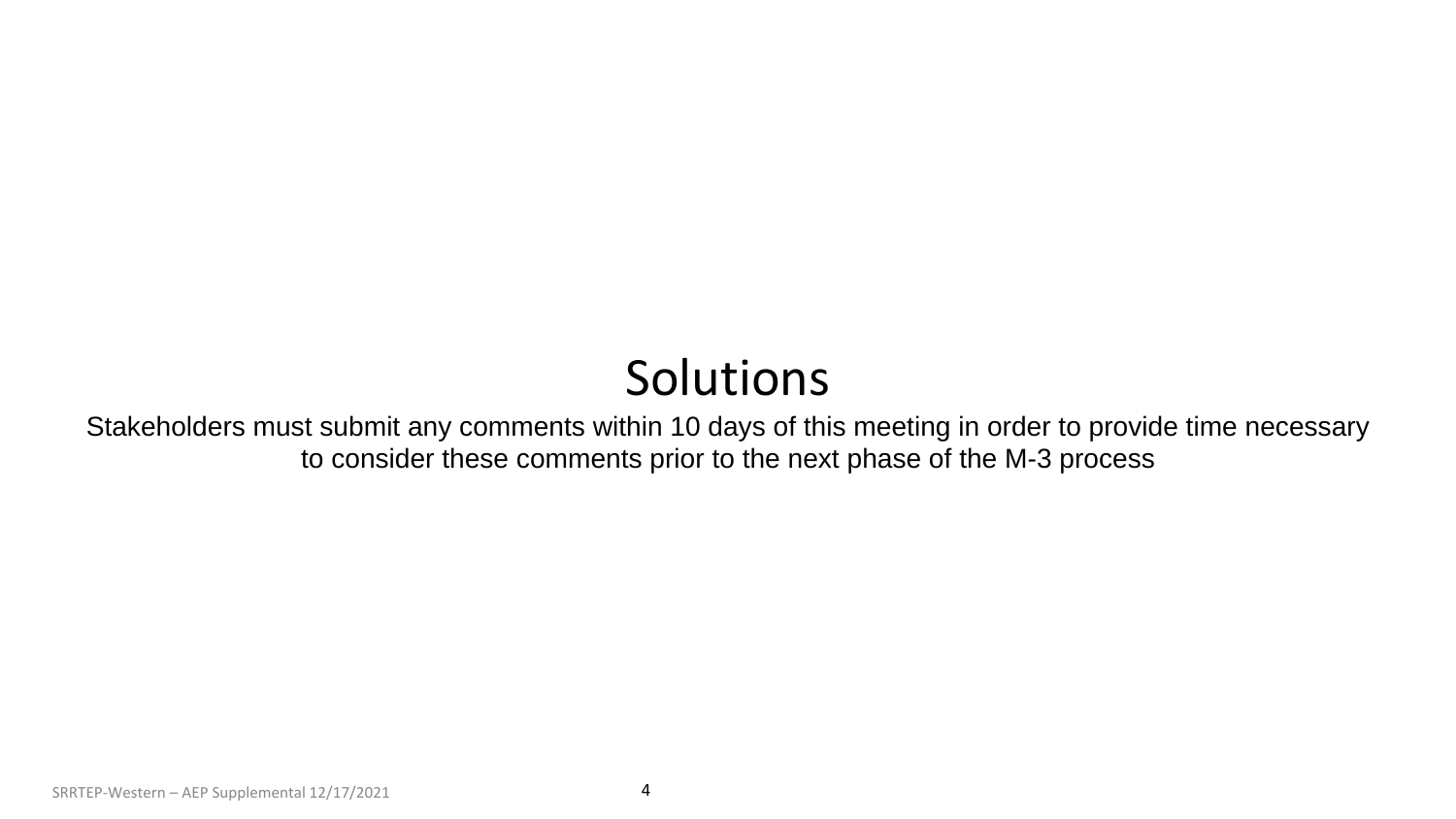## Solutions

Stakeholders must submit any comments within 10 days of this meeting in order to provide time necessary to consider these comments prior to the next phase of the M-3 process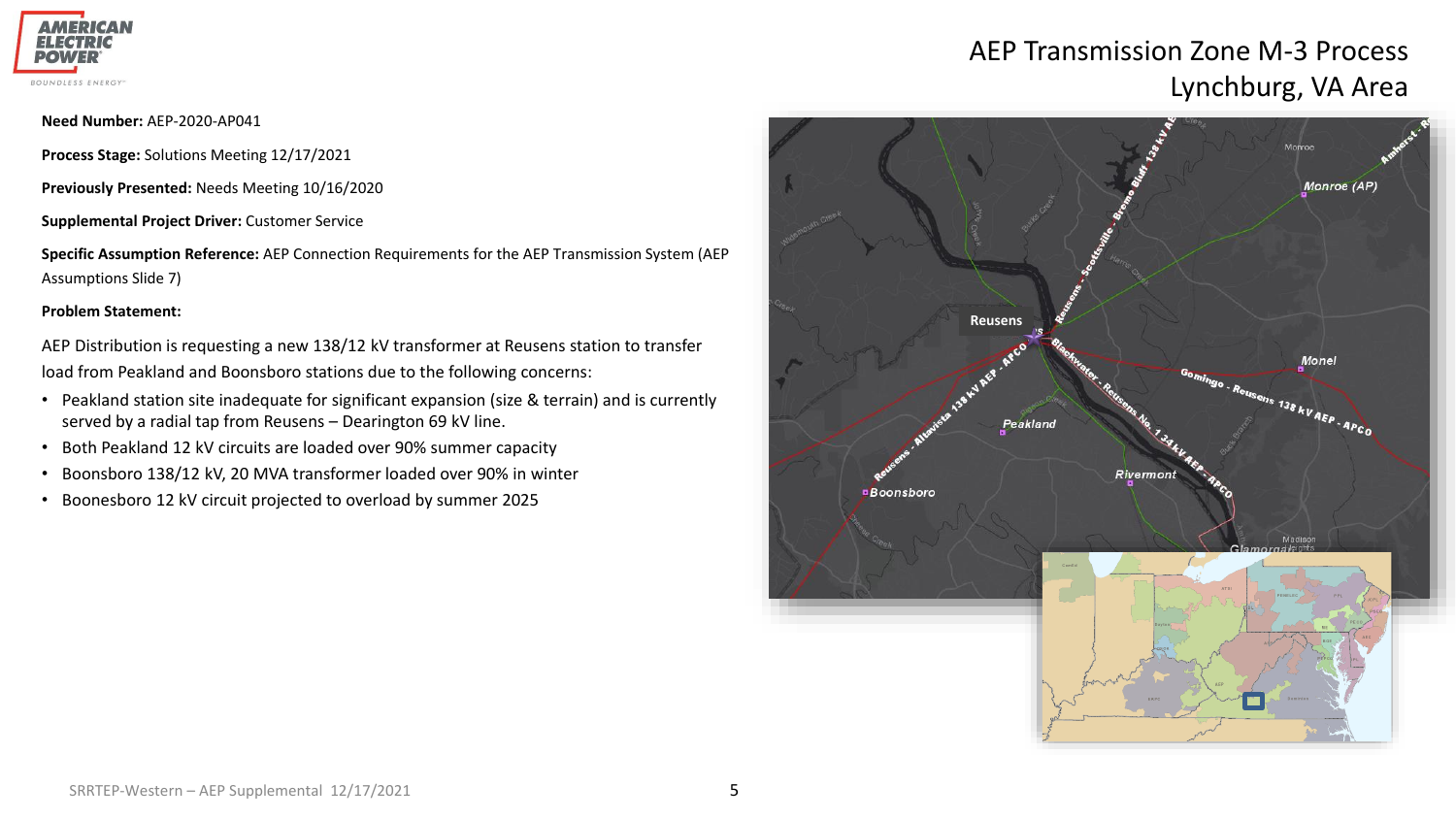

## AEP Transmission Zone M-3 Process Lynchburg, VA Area

**Need Number:** AEP-2020-AP041

**Process Stage:** Solutions Meeting 12/17/2021

**Previously Presented:** Needs Meeting 10/16/2020

**Supplemental Project Driver:** Customer Service

**Specific Assumption Reference:** AEP Connection Requirements for the AEP Transmission System (AEP Assumptions Slide 7)

#### **Problem Statement:**

AEP Distribution is requesting a new 138/12 kV transformer at Reusens station to transfer load from Peakland and Boonsboro stations due to the following concerns:

- Peakland station site inadequate for significant expansion (size & terrain) and is currently served by a radial tap from Reusens – Dearington 69 kV line.
- Both Peakland 12 kV circuits are loaded over 90% summer capacity
- Boonsboro 138/12 kV, 20 MVA transformer loaded over 90% in winter
- Boonesboro 12 kV circuit projected to overload by summer 2025

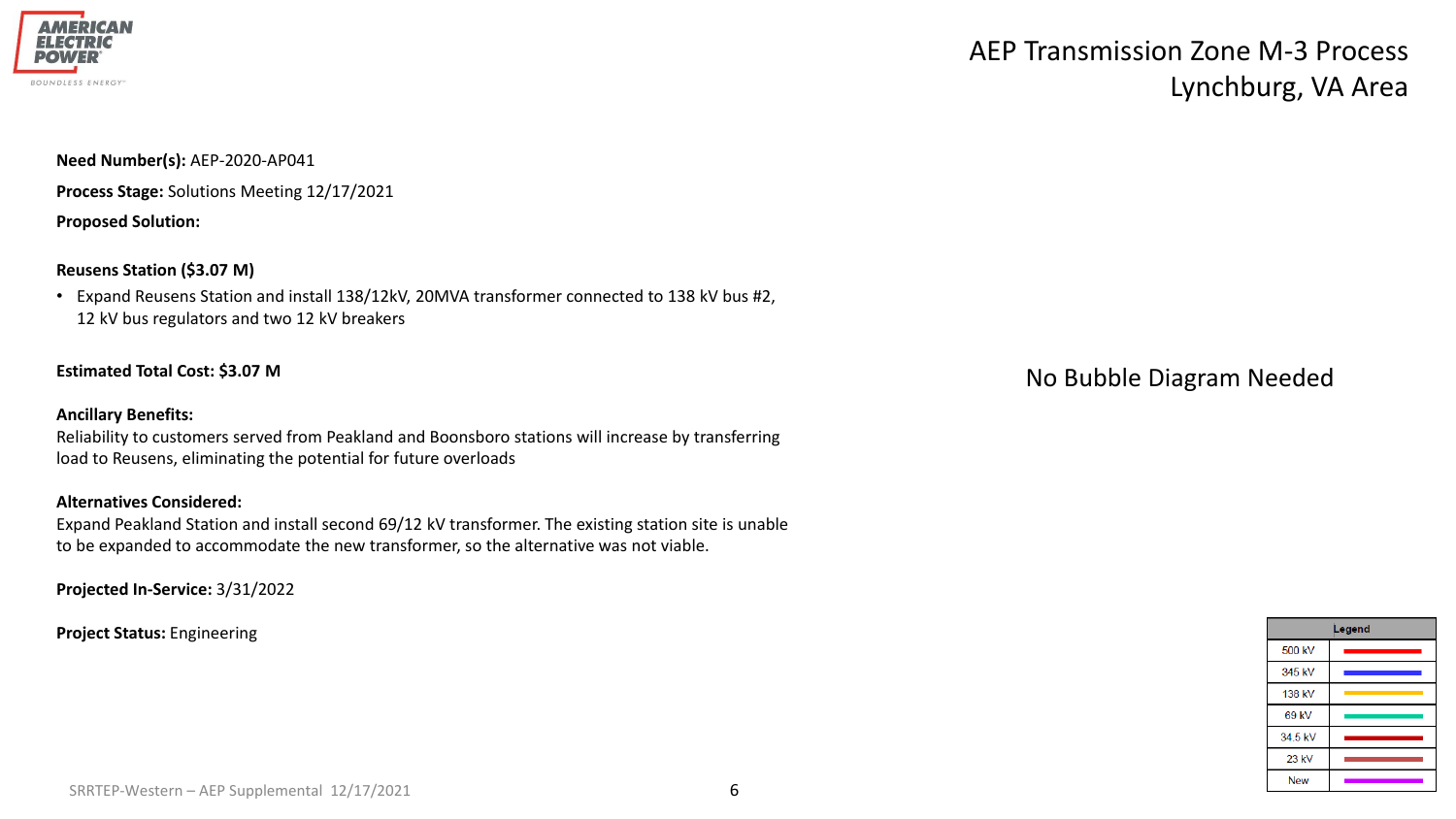

## AEP Transmission Zone M-3 Process Lynchburg, VA Area

**Need Number(s):** AEP-2020-AP041

**Process Stage:** Solutions Meeting 12/17/2021

**Proposed Solution:**

### **Reusens Station (\$3.07 M)**

• Expand Reusens Station and install 138/12kV, 20MVA transformer connected to 138 kV bus #2, 12 kV bus regulators and two 12 kV breakers

### **Estimated Total Cost: \$3.07 M**

### **Ancillary Benefits:**

Reliability to customers served from Peakland and Boonsboro stations will increase by transferring load to Reusens, eliminating the potential for future overloads

### **Alternatives Considered:**

Expand Peakland Station and install second 69/12 kV transformer. The existing station site is unable to be expanded to accommodate the new transformer, so the alternative was not viable.

**Projected In-Service:** 3/31/2022

**Project Status:** Engineering

No Bubble Diagram Needed

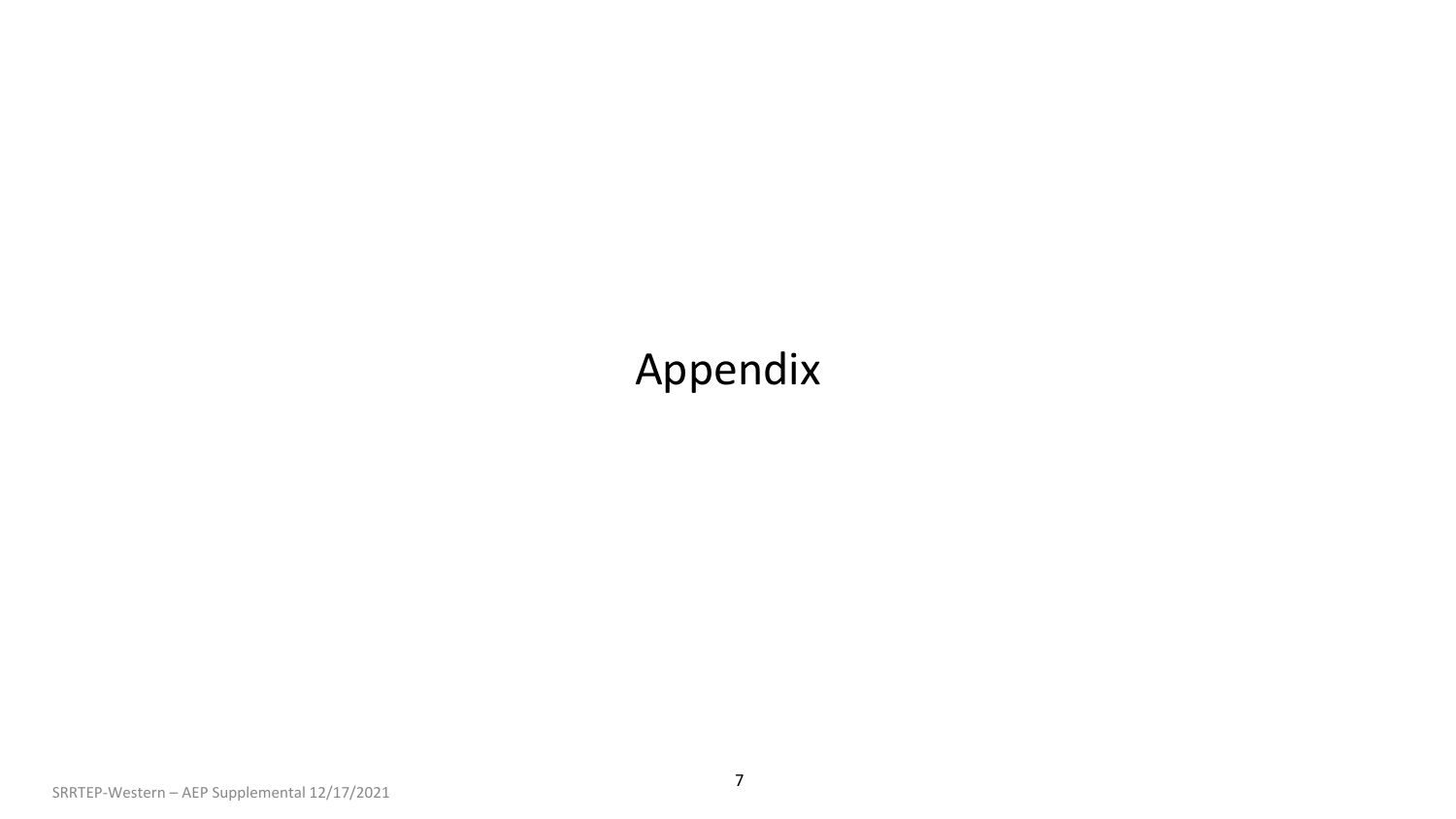## Appendix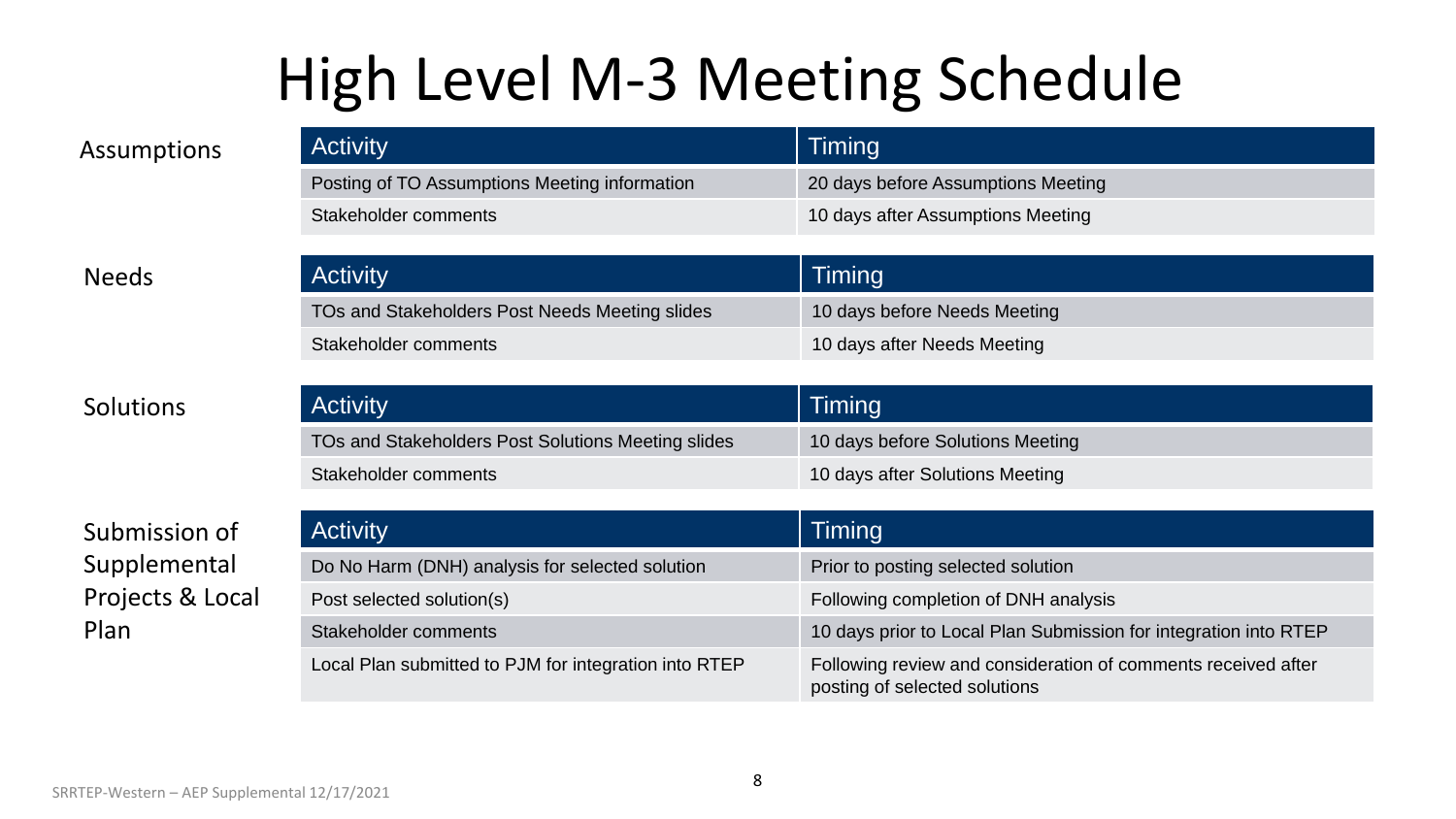# High Level M-3 Meeting Schedule

| Assumptions  | <b>Activity</b>                                | Timing                             |
|--------------|------------------------------------------------|------------------------------------|
|              | Posting of TO Assumptions Meeting information  | 20 days before Assumptions Meeting |
|              | Stakeholder comments                           | 10 days after Assumptions Meeting  |
|              |                                                |                                    |
| <b>Needs</b> | <b>Activity</b>                                | <b>Timing</b>                      |
|              | TOs and Stakeholders Post Needs Meeting slides | 10 days before Needs Meeting       |
|              | Stakeholder comments                           | 10 days after Needs Meeting        |

Solutions

Submission of Supplemental Projects & Local Plan

| <b>Activity</b>                                    | Timing                           |
|----------------------------------------------------|----------------------------------|
| TOs and Stakeholders Post Solutions Meeting slides | 10 days before Solutions Meeting |
| Stakeholder comments                               | 10 days after Solutions Meeting  |

| <b>Activity</b>                                       | Timing                                                                                         |
|-------------------------------------------------------|------------------------------------------------------------------------------------------------|
| Do No Harm (DNH) analysis for selected solution       | Prior to posting selected solution                                                             |
| Post selected solution(s)                             | Following completion of DNH analysis                                                           |
| Stakeholder comments                                  | 10 days prior to Local Plan Submission for integration into RTEP                               |
| Local Plan submitted to PJM for integration into RTEP | Following review and consideration of comments received after<br>posting of selected solutions |